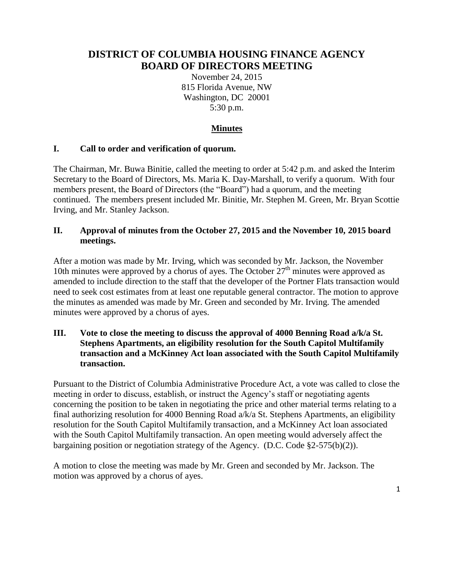# **DISTRICT OF COLUMBIA HOUSING FINANCE AGENCY BOARD OF DIRECTORS MEETING**

November 24, 2015 815 Florida Avenue, NW Washington, DC 20001 5:30 p.m.

## **Minutes**

#### **I. Call to order and verification of quorum.**

The Chairman, Mr. Buwa Binitie, called the meeting to order at 5:42 p.m. and asked the Interim Secretary to the Board of Directors, Ms. Maria K. Day-Marshall, to verify a quorum. With four members present, the Board of Directors (the "Board") had a quorum, and the meeting continued. The members present included Mr. Binitie, Mr. Stephen M. Green, Mr. Bryan Scottie Irving, and Mr. Stanley Jackson.

#### **II. Approval of minutes from the October 27, 2015 and the November 10, 2015 board meetings.**

After a motion was made by Mr. Irving, which was seconded by Mr. Jackson, the November 10th minutes were approved by a chorus of ayes. The October  $27<sup>th</sup>$  minutes were approved as amended to include direction to the staff that the developer of the Portner Flats transaction would need to seek cost estimates from at least one reputable general contractor. The motion to approve the minutes as amended was made by Mr. Green and seconded by Mr. Irving. The amended minutes were approved by a chorus of ayes.

#### **III. Vote to close the meeting to discuss the approval of 4000 Benning Road a/k/a St. Stephens Apartments, an eligibility resolution for the South Capitol Multifamily transaction and a McKinney Act loan associated with the South Capitol Multifamily transaction.**

Pursuant to the District of Columbia Administrative Procedure Act, a vote was called to close the meeting in order to discuss, establish, or instruct the Agency's staff or negotiating agents concerning the position to be taken in negotiating the price and other material terms relating to a final authorizing resolution for 4000 Benning Road a/k/a St. Stephens Apartments, an eligibility resolution for the South Capitol Multifamily transaction, and a McKinney Act loan associated with the South Capitol Multifamily transaction. An open meeting would adversely affect the bargaining position or negotiation strategy of the Agency. (D.C. Code §2-575(b)(2)).

A motion to close the meeting was made by Mr. Green and seconded by Mr. Jackson. The motion was approved by a chorus of ayes.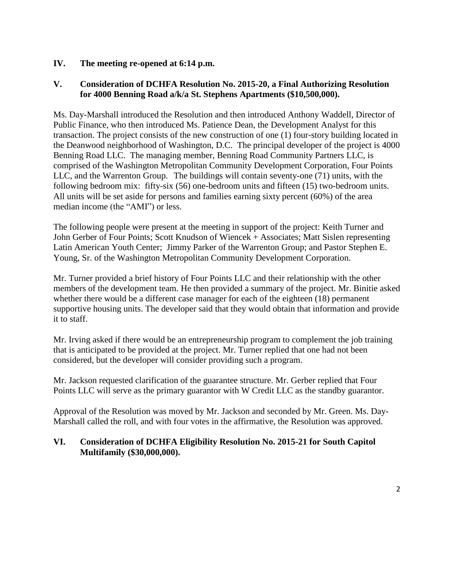#### **IV. The meeting re-opened at 6:14 p.m.**

#### **V. Consideration of DCHFA Resolution No. 2015-20, a Final Authorizing Resolution for 4000 Benning Road a/k/a St. Stephens Apartments (\$10,500,000).**

Ms. Day-Marshall introduced the Resolution and then introduced Anthony Waddell, Director of Public Finance, who then introduced Ms. Patience Dean, the Development Analyst for this transaction. The project consists of the new construction of one (1) four-story building located in the Deanwood neighborhood of Washington, D.C. The principal developer of the project is 4000 Benning Road LLC. The managing member, Benning Road Community Partners LLC, is comprised of the Washington Metropolitan Community Development Corporation, Four Points LLC, and the Warrenton Group. The buildings will contain seventy-one (71) units, with the following bedroom mix: fifty-six (56) one-bedroom units and fifteen (15) two-bedroom units. All units will be set aside for persons and families earning sixty percent (60%) of the area median income (the "AMI") or less.

The following people were present at the meeting in support of the project: Keith Turner and John Gerber of Four Points; Scott Knudson of Wiencek + Associates; Matt Sislen representing Latin American Youth Center; Jimmy Parker of the Warrenton Group; and Pastor Stephen E. Young, Sr. of the Washington Metropolitan Community Development Corporation.

Mr. Turner provided a brief history of Four Points LLC and their relationship with the other members of the development team. He then provided a summary of the project. Mr. Binitie asked whether there would be a different case manager for each of the eighteen (18) permanent supportive housing units. The developer said that they would obtain that information and provide it to staff.

Mr. Irving asked if there would be an entrepreneurship program to complement the job training that is anticipated to be provided at the project. Mr. Turner replied that one had not been considered, but the developer will consider providing such a program.

Mr. Jackson requested clarification of the guarantee structure. Mr. Gerber replied that Four Points LLC will serve as the primary guarantor with W Credit LLC as the standby guarantor.

Approval of the Resolution was moved by Mr. Jackson and seconded by Mr. Green. Ms. Day-Marshall called the roll, and with four votes in the affirmative, the Resolution was approved.

### **VI. Consideration of DCHFA Eligibility Resolution No. 2015-21 for South Capitol Multifamily (\$30,000,000).**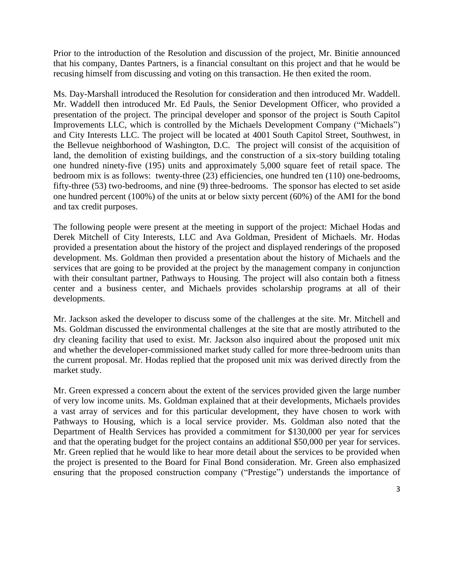Prior to the introduction of the Resolution and discussion of the project, Mr. Binitie announced that his company, Dantes Partners, is a financial consultant on this project and that he would be recusing himself from discussing and voting on this transaction. He then exited the room.

Ms. Day-Marshall introduced the Resolution for consideration and then introduced Mr. Waddell. Mr. Waddell then introduced Mr. Ed Pauls, the Senior Development Officer, who provided a presentation of the project. The principal developer and sponsor of the project is South Capitol Improvements LLC, which is controlled by the Michaels Development Company ("Michaels") and City Interests LLC. The project will be located at 4001 South Capitol Street, Southwest, in the Bellevue neighborhood of Washington, D.C. The project will consist of the acquisition of land, the demolition of existing buildings, and the construction of a six-story building totaling one hundred ninety-five (195) units and approximately 5,000 square feet of retail space. The bedroom mix is as follows: twenty-three (23) efficiencies, one hundred ten (110) one-bedrooms, fifty-three (53) two-bedrooms, and nine (9) three-bedrooms. The sponsor has elected to set aside one hundred percent (100%) of the units at or below sixty percent (60%) of the AMI for the bond and tax credit purposes.

The following people were present at the meeting in support of the project: Michael Hodas and Derek Mitchell of City Interests, LLC and Ava Goldman, President of Michaels. Mr. Hodas provided a presentation about the history of the project and displayed renderings of the proposed development. Ms. Goldman then provided a presentation about the history of Michaels and the services that are going to be provided at the project by the management company in conjunction with their consultant partner, Pathways to Housing. The project will also contain both a fitness center and a business center, and Michaels provides scholarship programs at all of their developments.

Mr. Jackson asked the developer to discuss some of the challenges at the site. Mr. Mitchell and Ms. Goldman discussed the environmental challenges at the site that are mostly attributed to the dry cleaning facility that used to exist. Mr. Jackson also inquired about the proposed unit mix and whether the developer-commissioned market study called for more three-bedroom units than the current proposal. Mr. Hodas replied that the proposed unit mix was derived directly from the market study.

Mr. Green expressed a concern about the extent of the services provided given the large number of very low income units. Ms. Goldman explained that at their developments, Michaels provides a vast array of services and for this particular development, they have chosen to work with Pathways to Housing, which is a local service provider. Ms. Goldman also noted that the Department of Health Services has provided a commitment for \$130,000 per year for services and that the operating budget for the project contains an additional \$50,000 per year for services. Mr. Green replied that he would like to hear more detail about the services to be provided when the project is presented to the Board for Final Bond consideration. Mr. Green also emphasized ensuring that the proposed construction company ("Prestige") understands the importance of